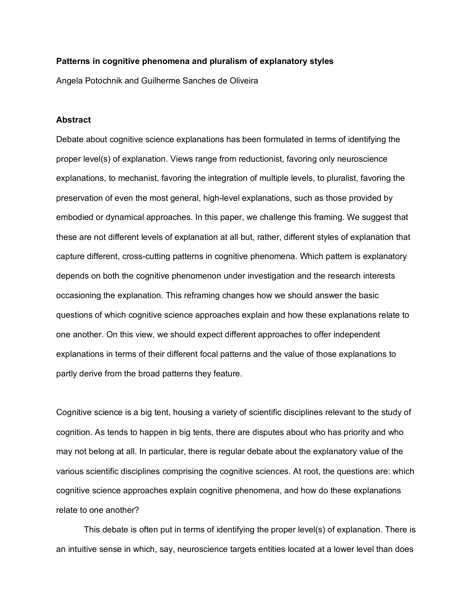## **Patterns in cognitive phenomena and pluralism of explanatory styles**

Angela Potochnik and Guilherme Sanches de Oliveira

# **Abstract**

Debate about cognitive science explanations has been formulated in terms of identifying the proper level(s) of explanation. Views range from reductionist, favoring only neuroscience explanations, to mechanist, favoring the integration of multiple levels, to pluralist, favoring the preservation of even the most general, high-level explanations, such as those provided by embodied or dynamical approaches. In this paper, we challenge this framing. We suggest that these are not different levels of explanation at all but, rather, different styles of explanation that capture different, cross-cutting patterns in cognitive phenomena. Which pattern is explanatory depends on both the cognitive phenomenon under investigation and the research interests occasioning the explanation. This reframing changes how we should answer the basic questions of which cognitive science approaches explain and how these explanations relate to one another. On this view, we should expect different approaches to offer independent explanations in terms of their different focal patterns and the value of those explanations to partly derive from the broad patterns they feature.

Cognitive science is a big tent, housing a variety of scientific disciplines relevant to the study of cognition. As tends to happen in big tents, there are disputes about who has priority and who may not belong at all. In particular, there is regular debate about the explanatory value of the various scientific disciplines comprising the cognitive sciences. At root, the questions are: which cognitive science approaches explain cognitive phenomena, and how do these explanations relate to one another?

This debate is often put in terms of identifying the proper level(s) of explanation. There is an intuitive sense in which, say, neuroscience targets entities located at a lower level than does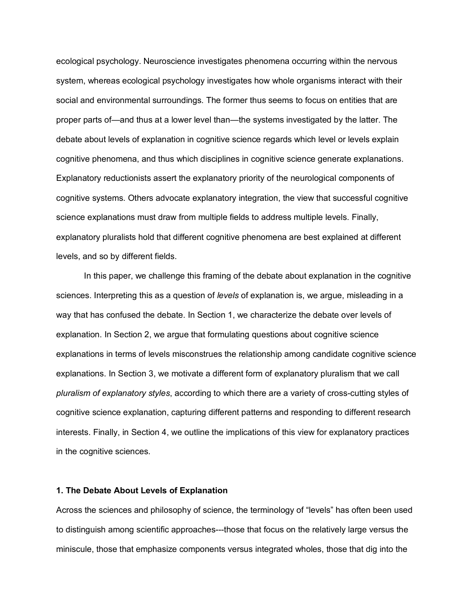ecological psychology. Neuroscience investigates phenomena occurring within the nervous system, whereas ecological psychology investigates how whole organisms interact with their social and environmental surroundings. The former thus seems to focus on entities that are proper parts of—and thus at a lower level than—the systems investigated by the latter. The debate about levels of explanation in cognitive science regards which level or levels explain cognitive phenomena, and thus which disciplines in cognitive science generate explanations. Explanatory reductionists assert the explanatory priority of the neurological components of cognitive systems. Others advocate explanatory integration, the view that successful cognitive science explanations must draw from multiple fields to address multiple levels. Finally, explanatory pluralists hold that different cognitive phenomena are best explained at different levels, and so by different fields.

 In this paper, we challenge this framing of the debate about explanation in the cognitive sciences. Interpreting this as a question of *levels* of explanation is, we argue, misleading in a way that has confused the debate. In Section 1, we characterize the debate over levels of explanation. In Section 2, we argue that formulating questions about cognitive science explanations in terms of levels misconstrues the relationship among candidate cognitive science explanations. In Section 3, we motivate a different form of explanatory pluralism that we call *pluralism of explanatory styles*, according to which there are a variety of cross-cutting styles of cognitive science explanation, capturing different patterns and responding to different research interests. Finally, in Section 4, we outline the implications of this view for explanatory practices in the cognitive sciences.

## **1. The Debate About Levels of Explanation**

Across the sciences and philosophy of science, the terminology of "levels" has often been used to distinguish among scientific approaches---those that focus on the relatively large versus the miniscule, those that emphasize components versus integrated wholes, those that dig into the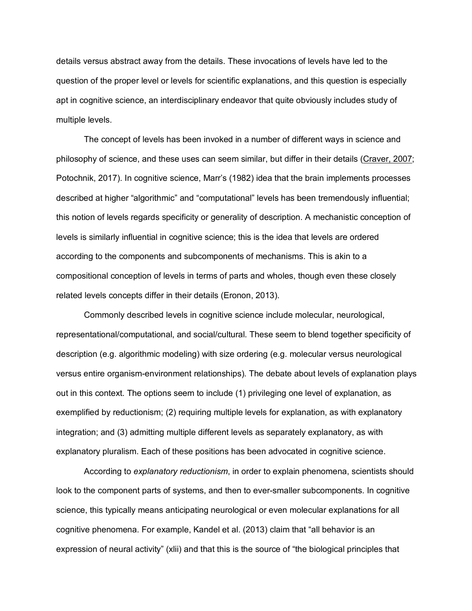details versus abstract away from the details. These invocations of levels have led to the question of the proper level or levels for scientific explanations, and this question is especially apt in cognitive science, an interdisciplinary endeavor that quite obviously includes study of multiple levels.

The concept of levels has been invoked in a number of different ways in science and philosophy of science, and these uses can seem similar, but differ in their details (Craver, 2007; Potochnik, 2017). In cognitive science, Marr's (1982) idea that the brain implements processes described at higher "algorithmic" and "computational" levels has been tremendously influential; this notion of levels regards specificity or generality of description. A mechanistic conception of levels is similarly influential in cognitive science; this is the idea that levels are ordered according to the components and subcomponents of mechanisms. This is akin to a compositional conception of levels in terms of parts and wholes, though even these closely related levels concepts differ in their details (Eronon, 2013).

Commonly described levels in cognitive science include molecular, neurological, representational/computational, and social/cultural. These seem to blend together specificity of description (e.g. algorithmic modeling) with size ordering (e.g. molecular versus neurological versus entire organism-environment relationships). The debate about levels of explanation plays out in this context. The options seem to include (1) privileging one level of explanation, as exemplified by reductionism; (2) requiring multiple levels for explanation, as with explanatory integration; and (3) admitting multiple different levels as separately explanatory, as with explanatory pluralism. Each of these positions has been advocated in cognitive science.

According to *explanatory reductionism*, in order to explain phenomena, scientists should look to the component parts of systems, and then to ever-smaller subcomponents. In cognitive science, this typically means anticipating neurological or even molecular explanations for all cognitive phenomena. For example, Kandel et al. (2013) claim that "all behavior is an expression of neural activity" (xlii) and that this is the source of "the biological principles that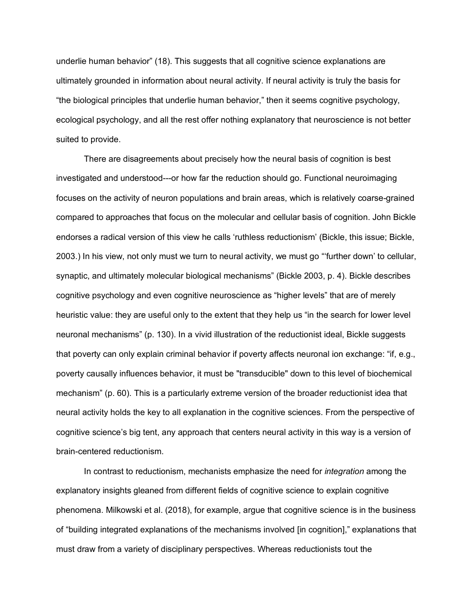underlie human behavior" (18). This suggests that all cognitive science explanations are ultimately grounded in information about neural activity. If neural activity is truly the basis for "the biological principles that underlie human behavior," then it seems cognitive psychology, ecological psychology, and all the rest offer nothing explanatory that neuroscience is not better suited to provide.

There are disagreements about precisely how the neural basis of cognition is best investigated and understood---or how far the reduction should go. Functional neuroimaging focuses on the activity of neuron populations and brain areas, which is relatively coarse-grained compared to approaches that focus on the molecular and cellular basis of cognition. John Bickle endorses a radical version of this view he calls 'ruthless reductionism' (Bickle, this issue; Bickle, 2003.) In his view, not only must we turn to neural activity, we must go "'further down' to cellular, synaptic, and ultimately molecular biological mechanisms" (Bickle 2003, p. 4). Bickle describes cognitive psychology and even cognitive neuroscience as "higher levels" that are of merely heuristic value: they are useful only to the extent that they help us "in the search for lower level neuronal mechanisms" (p. 130). In a vivid illustration of the reductionist ideal, Bickle suggests that poverty can only explain criminal behavior if poverty affects neuronal ion exchange: "if, e.g., poverty causally influences behavior, it must be "transducible" down to this level of biochemical mechanism" (p. 60). This is a particularly extreme version of the broader reductionist idea that neural activity holds the key to all explanation in the cognitive sciences. From the perspective of cognitive science's big tent, any approach that centers neural activity in this way is a version of brain-centered reductionism.

 In contrast to reductionism, mechanists emphasize the need for *integration* among the explanatory insights gleaned from different fields of cognitive science to explain cognitive phenomena. Milkowski et al. (2018), for example, argue that cognitive science is in the business of "building integrated explanations of the mechanisms involved [in cognition]," explanations that must draw from a variety of disciplinary perspectives. Whereas reductionists tout the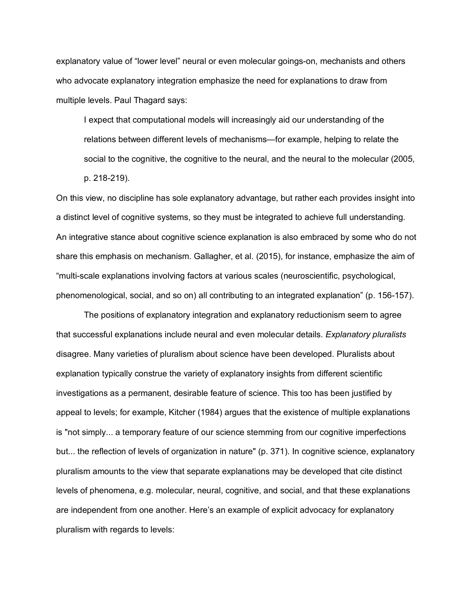explanatory value of "lower level" neural or even molecular goings-on, mechanists and others who advocate explanatory integration emphasize the need for explanations to draw from multiple levels. Paul Thagard says:

I expect that computational models will increasingly aid our understanding of the relations between different levels of mechanisms—for example, helping to relate the social to the cognitive, the cognitive to the neural, and the neural to the molecular (2005, p. 218-219).

On this view, no discipline has sole explanatory advantage, but rather each provides insight into a distinct level of cognitive systems, so they must be integrated to achieve full understanding. An integrative stance about cognitive science explanation is also embraced by some who do not share this emphasis on mechanism. Gallagher, et al. (2015), for instance, emphasize the aim of "multi-scale explanations involving factors at various scales (neuroscientific, psychological, phenomenological, social, and so on) all contributing to an integrated explanation" (p. 156-157).

The positions of explanatory integration and explanatory reductionism seem to agree that successful explanations include neural and even molecular details. *Explanatory pluralists*  disagree. Many varieties of pluralism about science have been developed. Pluralists about explanation typically construe the variety of explanatory insights from different scientific investigations as a permanent, desirable feature of science. This too has been justified by appeal to levels; for example, Kitcher (1984) argues that the existence of multiple explanations is "not simply... a temporary feature of our science stemming from our cognitive imperfections but... the reflection of levels of organization in nature" (p. 371). In cognitive science, explanatory pluralism amounts to the view that separate explanations may be developed that cite distinct levels of phenomena, e.g. molecular, neural, cognitive, and social, and that these explanations are independent from one another. Here's an example of explicit advocacy for explanatory pluralism with regards to levels: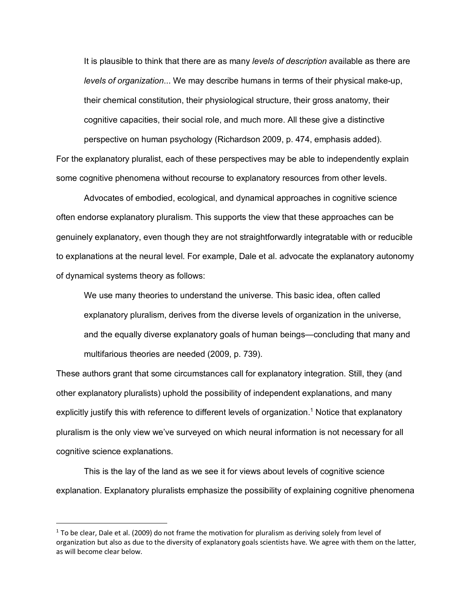It is plausible to think that there are as many *levels of description* available as there are *levels of organization*... We may describe humans in terms of their physical make-up, their chemical constitution, their physiological structure, their gross anatomy, their cognitive capacities, their social role, and much more. All these give a distinctive perspective on human psychology (Richardson 2009, p. 474, emphasis added).

For the explanatory pluralist, each of these perspectives may be able to independently explain some cognitive phenomena without recourse to explanatory resources from other levels.

Advocates of embodied, ecological, and dynamical approaches in cognitive science often endorse explanatory pluralism. This supports the view that these approaches can be genuinely explanatory, even though they are not straightforwardly integratable with or reducible to explanations at the neural level. For example, Dale et al. advocate the explanatory autonomy of dynamical systems theory as follows:

We use many theories to understand the universe. This basic idea, often called explanatory pluralism, derives from the diverse levels of organization in the universe, and the equally diverse explanatory goals of human beings—concluding that many and multifarious theories are needed (2009, p. 739).

These authors grant that some circumstances call for explanatory integration. Still, they (and other explanatory pluralists) uphold the possibility of independent explanations, and many explicitly justify this with reference to different levels of organization.<sup>1</sup> Notice that explanatory pluralism is the only view we've surveyed on which neural information is not necessary for all cognitive science explanations.

This is the lay of the land as we see it for views about levels of cognitive science explanation. Explanatory pluralists emphasize the possibility of explaining cognitive phenomena

 $1$  To be clear, Dale et al. (2009) do not frame the motivation for pluralism as deriving solely from level of organization but also as due to the diversity of explanatory goals scientists have. We agree with them on the latter, as will become clear below.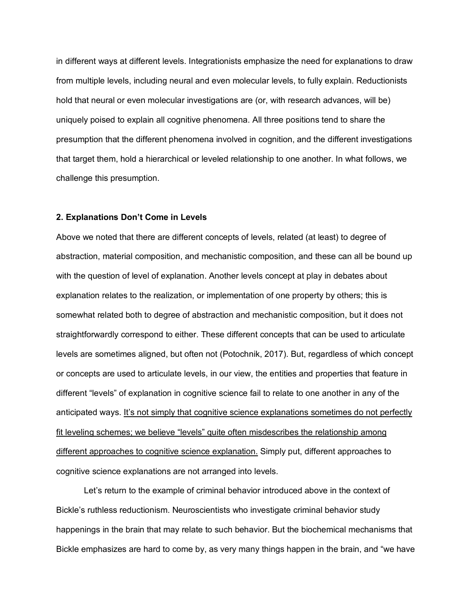in different ways at different levels. Integrationists emphasize the need for explanations to draw from multiple levels, including neural and even molecular levels, to fully explain. Reductionists hold that neural or even molecular investigations are (or, with research advances, will be) uniquely poised to explain all cognitive phenomena. All three positions tend to share the presumption that the different phenomena involved in cognition, and the different investigations that target them, hold a hierarchical or leveled relationship to one another. In what follows, we challenge this presumption.

## **2. Explanations Don't Come in Levels**

Above we noted that there are different concepts of levels, related (at least) to degree of abstraction, material composition, and mechanistic composition, and these can all be bound up with the question of level of explanation. Another levels concept at play in debates about explanation relates to the realization, or implementation of one property by others; this is somewhat related both to degree of abstraction and mechanistic composition, but it does not straightforwardly correspond to either. These different concepts that can be used to articulate levels are sometimes aligned, but often not (Potochnik, 2017). But, regardless of which concept or concepts are used to articulate levels, in our view, the entities and properties that feature in different "levels" of explanation in cognitive science fail to relate to one another in any of the anticipated ways. It's not simply that cognitive science explanations sometimes do not perfectly fit leveling schemes; we believe "levels" quite often misdescribes the relationship among different approaches to cognitive science explanation. Simply put, different approaches to cognitive science explanations are not arranged into levels.

Let's return to the example of criminal behavior introduced above in the context of Bickle's ruthless reductionism. Neuroscientists who investigate criminal behavior study happenings in the brain that may relate to such behavior. But the biochemical mechanisms that Bickle emphasizes are hard to come by, as very many things happen in the brain, and "we have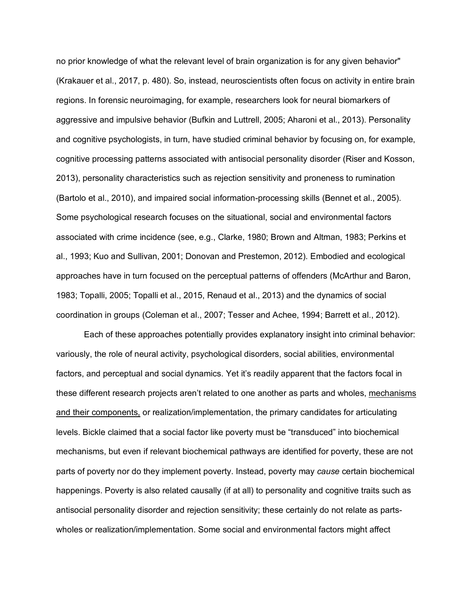no prior knowledge of what the relevant level of brain organization is for any given behavior" (Krakauer et al., 2017, p. 480). So, instead, neuroscientists often focus on activity in entire brain regions. In forensic neuroimaging, for example, researchers look for neural biomarkers of aggressive and impulsive behavior (Bufkin and Luttrell, 2005; Aharoni et al., 2013). Personality and cognitive psychologists, in turn, have studied criminal behavior by focusing on, for example, cognitive processing patterns associated with antisocial personality disorder (Riser and Kosson, 2013), personality characteristics such as rejection sensitivity and proneness to rumination (Bartolo et al., 2010), and impaired social information-processing skills (Bennet et al., 2005). Some psychological research focuses on the situational, social and environmental factors associated with crime incidence (see, e.g., Clarke, 1980; Brown and Altman, 1983; Perkins et al., 1993; Kuo and Sullivan, 2001; Donovan and Prestemon, 2012). Embodied and ecological approaches have in turn focused on the perceptual patterns of offenders (McArthur and Baron, 1983; Topalli, 2005; Topalli et al., 2015, Renaud et al., 2013) and the dynamics of social coordination in groups (Coleman et al., 2007; Tesser and Achee, 1994; Barrett et al., 2012).

Each of these approaches potentially provides explanatory insight into criminal behavior: variously, the role of neural activity, psychological disorders, social abilities, environmental factors, and perceptual and social dynamics. Yet it's readily apparent that the factors focal in these different research projects aren't related to one another as parts and wholes, mechanisms and their components, or realization/implementation, the primary candidates for articulating levels. Bickle claimed that a social factor like poverty must be "transduced" into biochemical mechanisms, but even if relevant biochemical pathways are identified for poverty, these are not parts of poverty nor do they implement poverty. Instead, poverty may *cause* certain biochemical happenings. Poverty is also related causally (if at all) to personality and cognitive traits such as antisocial personality disorder and rejection sensitivity; these certainly do not relate as partswholes or realization/implementation. Some social and environmental factors might affect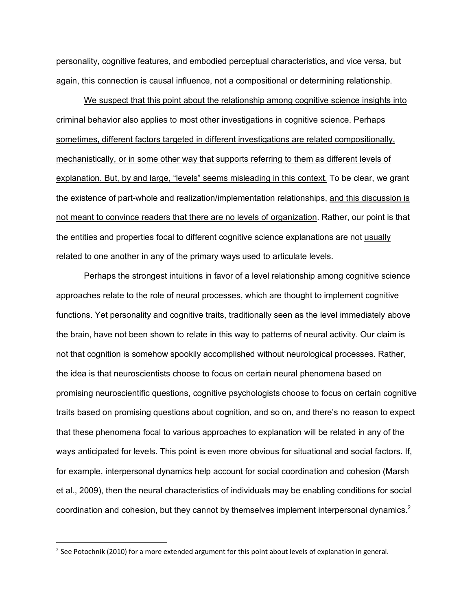personality, cognitive features, and embodied perceptual characteristics, and vice versa, but again, this connection is causal influence, not a compositional or determining relationship.

We suspect that this point about the relationship among cognitive science insights into criminal behavior also applies to most other investigations in cognitive science. Perhaps sometimes, different factors targeted in different investigations are related compositionally, mechanistically, or in some other way that supports referring to them as different levels of explanation. But, by and large, "levels" seems misleading in this context. To be clear, we grant the existence of part-whole and realization/implementation relationships, and this discussion is not meant to convince readers that there are no levels of organization. Rather, our point is that the entities and properties focal to different cognitive science explanations are not usually related to one another in any of the primary ways used to articulate levels.

Perhaps the strongest intuitions in favor of a level relationship among cognitive science approaches relate to the role of neural processes, which are thought to implement cognitive functions. Yet personality and cognitive traits, traditionally seen as the level immediately above the brain, have not been shown to relate in this way to patterns of neural activity. Our claim is not that cognition is somehow spookily accomplished without neurological processes. Rather, the idea is that neuroscientists choose to focus on certain neural phenomena based on promising neuroscientific questions, cognitive psychologists choose to focus on certain cognitive traits based on promising questions about cognition, and so on, and there's no reason to expect that these phenomena focal to various approaches to explanation will be related in any of the ways anticipated for levels. This point is even more obvious for situational and social factors. If, for example, interpersonal dynamics help account for social coordination and cohesion (Marsh et al., 2009), then the neural characteristics of individuals may be enabling conditions for social coordination and cohesion, but they cannot by themselves implement interpersonal dynamics.<sup>2</sup>

<sup>&</sup>lt;sup>2</sup> See Potochnik (2010) for a more extended argument for this point about levels of explanation in general.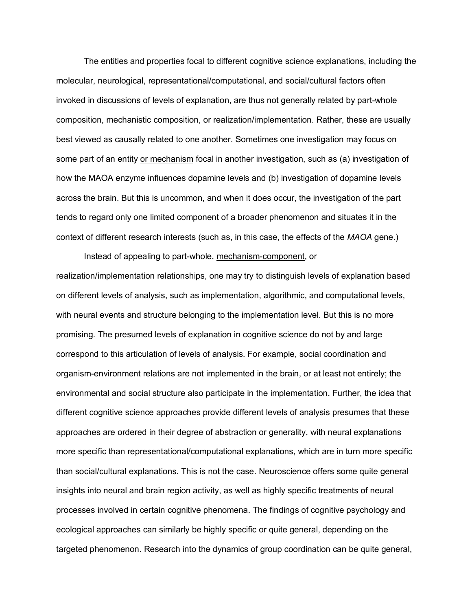The entities and properties focal to different cognitive science explanations, including the molecular, neurological, representational/computational, and social/cultural factors often invoked in discussions of levels of explanation, are thus not generally related by part-whole composition, mechanistic composition, or realization/implementation. Rather, these are usually best viewed as causally related to one another. Sometimes one investigation may focus on some part of an entity or mechanism focal in another investigation, such as (a) investigation of how the MAOA enzyme influences dopamine levels and (b) investigation of dopamine levels across the brain. But this is uncommon, and when it does occur, the investigation of the part tends to regard only one limited component of a broader phenomenon and situates it in the context of different research interests (such as, in this case, the effects of the *MAOA* gene.)

Instead of appealing to part-whole, mechanism-component, or realization/implementation relationships, one may try to distinguish levels of explanation based on different levels of analysis, such as implementation, algorithmic, and computational levels, with neural events and structure belonging to the implementation level. But this is no more promising. The presumed levels of explanation in cognitive science do not by and large correspond to this articulation of levels of analysis. For example, social coordination and organism-environment relations are not implemented in the brain, or at least not entirely; the environmental and social structure also participate in the implementation. Further, the idea that different cognitive science approaches provide different levels of analysis presumes that these approaches are ordered in their degree of abstraction or generality, with neural explanations more specific than representational/computational explanations, which are in turn more specific than social/cultural explanations. This is not the case. Neuroscience offers some quite general insights into neural and brain region activity, as well as highly specific treatments of neural processes involved in certain cognitive phenomena. The findings of cognitive psychology and ecological approaches can similarly be highly specific or quite general, depending on the targeted phenomenon. Research into the dynamics of group coordination can be quite general,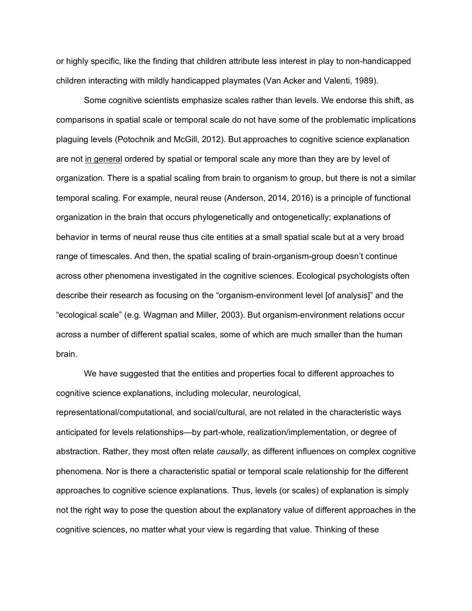or highly specific, like the finding that children attribute less interest in play to non-handicapped children interacting with mildly handicapped playmates (Van Acker and Valenti, 1989).

Some cognitive scientists emphasize scales rather than levels. We endorse this shift, as comparisons in spatial scale or temporal scale do not have some of the problematic implications plaguing levels (Potochnik and McGill, 2012). But approaches to cognitive science explanation are not in general ordered by spatial or temporal scale any more than they are by level of organization. There is a spatial scaling from brain to organism to group, but there is not a similar temporal scaling. For example, neural reuse (Anderson, 2014, 2016) is a principle of functional organization in the brain that occurs phylogenetically and ontogenetically; explanations of behavior in terms of neural reuse thus cite entities at a small spatial scale but at a very broad range of timescales. And then, the spatial scaling of brain-organism-group doesn't continue across other phenomena investigated in the cognitive sciences. Ecological psychologists often describe their research as focusing on the "organism-environment level [of analysis]" and the "ecological scale" (e.g. Wagman and Miller, 2003). But organism-environment relations occur across a number of different spatial scales, some of which are much smaller than the human brain.

We have suggested that the entities and properties focal to different approaches to cognitive science explanations, including molecular, neurological, representational/computational, and social/cultural, are not related in the characteristic ways anticipated for levels relationships—by part-whole, realization/implementation, or degree of abstraction. Rather, they most often relate *causally*, as different influences on complex cognitive phenomena. Nor is there a characteristic spatial or temporal scale relationship for the different approaches to cognitive science explanations. Thus, levels (or scales) of explanation is simply not the right way to pose the question about the explanatory value of different approaches in the cognitive sciences, no matter what your view is regarding that value. Thinking of these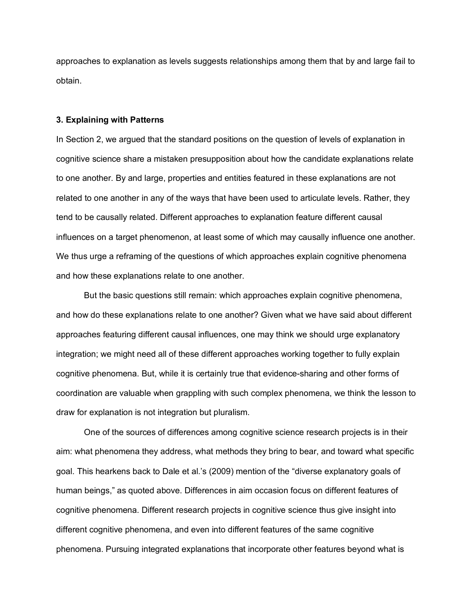approaches to explanation as levels suggests relationships among them that by and large fail to obtain.

## **3. Explaining with Patterns**

In Section 2, we argued that the standard positions on the question of levels of explanation in cognitive science share a mistaken presupposition about how the candidate explanations relate to one another. By and large, properties and entities featured in these explanations are not related to one another in any of the ways that have been used to articulate levels. Rather, they tend to be causally related. Different approaches to explanation feature different causal influences on a target phenomenon, at least some of which may causally influence one another. We thus urge a reframing of the questions of which approaches explain cognitive phenomena and how these explanations relate to one another.

 But the basic questions still remain: which approaches explain cognitive phenomena, and how do these explanations relate to one another? Given what we have said about different approaches featuring different causal influences, one may think we should urge explanatory integration; we might need all of these different approaches working together to fully explain cognitive phenomena. But, while it is certainly true that evidence-sharing and other forms of coordination are valuable when grappling with such complex phenomena, we think the lesson to draw for explanation is not integration but pluralism.

 One of the sources of differences among cognitive science research projects is in their aim: what phenomena they address, what methods they bring to bear, and toward what specific goal. This hearkens back to Dale et al.'s (2009) mention of the "diverse explanatory goals of human beings," as quoted above. Differences in aim occasion focus on different features of cognitive phenomena. Different research projects in cognitive science thus give insight into different cognitive phenomena, and even into different features of the same cognitive phenomena. Pursuing integrated explanations that incorporate other features beyond what is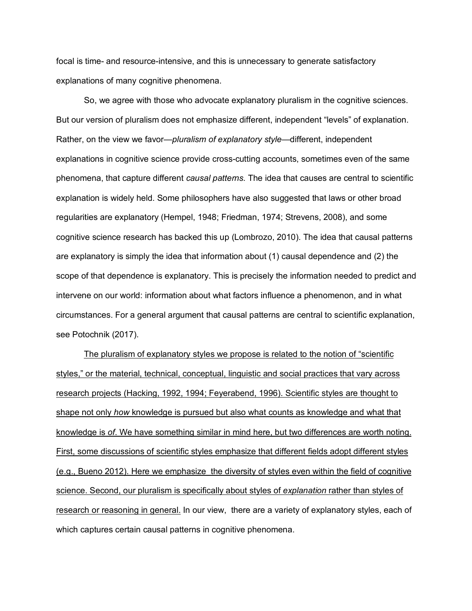focal is time- and resource-intensive, and this is unnecessary to generate satisfactory explanations of many cognitive phenomena.

So, we agree with those who advocate explanatory pluralism in the cognitive sciences. But our version of pluralism does not emphasize different, independent "levels" of explanation. Rather, on the view we favor—*pluralism of explanatory style*—different, independent explanations in cognitive science provide cross-cutting accounts, sometimes even of the same phenomena, that capture different *causal patterns*. The idea that causes are central to scientific explanation is widely held. Some philosophers have also suggested that laws or other broad regularities are explanatory (Hempel, 1948; Friedman, 1974; Strevens, 2008), and some cognitive science research has backed this up (Lombrozo, 2010). The idea that causal patterns are explanatory is simply the idea that information about (1) causal dependence and (2) the scope of that dependence is explanatory. This is precisely the information needed to predict and intervene on our world: information about what factors influence a phenomenon, and in what circumstances. For a general argument that causal patterns are central to scientific explanation, see Potochnik (2017).

 The pluralism of explanatory styles we propose is related to the notion of "scientific styles," or the material, technical, conceptual, linguistic and social practices that vary across research projects (Hacking, 1992, 1994; Feyerabend, 1996). Scientific styles are thought to shape not only *how* knowledge is pursued but also what counts as knowledge and what that knowledge is *of*. We have something similar in mind here, but two differences are worth noting. First, some discussions of scientific styles emphasize that different fields adopt different styles (e.g., Bueno 2012). Here we emphasize the diversity of styles even within the field of cognitive science. Second, our pluralism is specifically about styles of *explanation* rather than styles of research or reasoning in general. In our view, there are a variety of explanatory styles, each of which captures certain causal patterns in cognitive phenomena.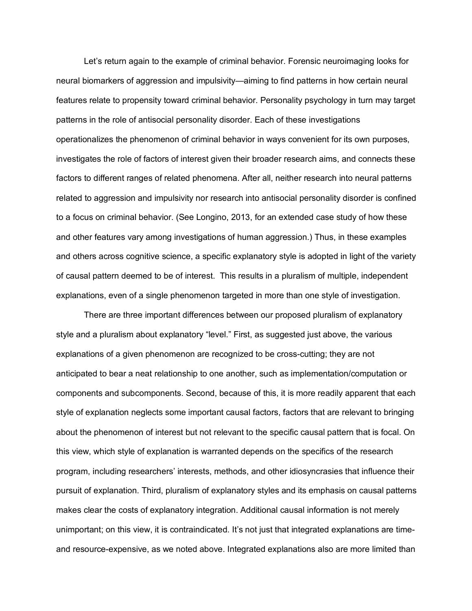Let's return again to the example of criminal behavior. Forensic neuroimaging looks for neural biomarkers of aggression and impulsivity—aiming to find patterns in how certain neural features relate to propensity toward criminal behavior. Personality psychology in turn may target patterns in the role of antisocial personality disorder. Each of these investigations operationalizes the phenomenon of criminal behavior in ways convenient for its own purposes, investigates the role of factors of interest given their broader research aims, and connects these factors to different ranges of related phenomena. After all, neither research into neural patterns related to aggression and impulsivity nor research into antisocial personality disorder is confined to a focus on criminal behavior. (See Longino, 2013, for an extended case study of how these and other features vary among investigations of human aggression.) Thus, in these examples and others across cognitive science, a specific explanatory style is adopted in light of the variety of causal pattern deemed to be of interest. This results in a pluralism of multiple, independent explanations, even of a single phenomenon targeted in more than one style of investigation.

There are three important differences between our proposed pluralism of explanatory style and a pluralism about explanatory "level." First, as suggested just above, the various explanations of a given phenomenon are recognized to be cross-cutting; they are not anticipated to bear a neat relationship to one another, such as implementation/computation or components and subcomponents. Second, because of this, it is more readily apparent that each style of explanation neglects some important causal factors, factors that are relevant to bringing about the phenomenon of interest but not relevant to the specific causal pattern that is focal. On this view, which style of explanation is warranted depends on the specifics of the research program, including researchers' interests, methods, and other idiosyncrasies that influence their pursuit of explanation. Third, pluralism of explanatory styles and its emphasis on causal patterns makes clear the costs of explanatory integration. Additional causal information is not merely unimportant; on this view, it is contraindicated. It's not just that integrated explanations are timeand resource-expensive, as we noted above. Integrated explanations also are more limited than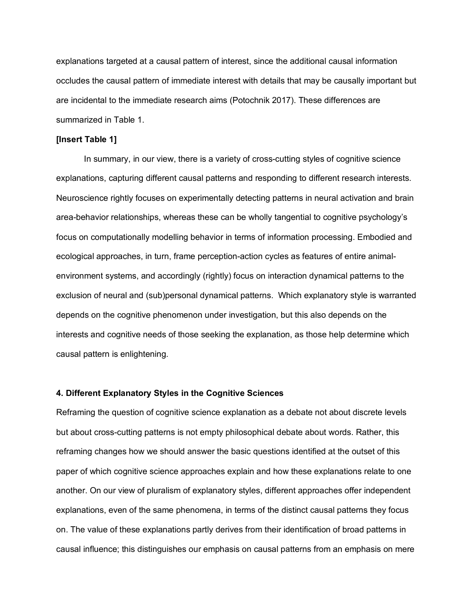explanations targeted at a causal pattern of interest, since the additional causal information occludes the causal pattern of immediate interest with details that may be causally important but are incidental to the immediate research aims (Potochnik 2017). These differences are summarized in Table 1.

# **[Insert Table 1]**

In summary, in our view, there is a variety of cross-cutting styles of cognitive science explanations, capturing different causal patterns and responding to different research interests. Neuroscience rightly focuses on experimentally detecting patterns in neural activation and brain area-behavior relationships, whereas these can be wholly tangential to cognitive psychology's focus on computationally modelling behavior in terms of information processing. Embodied and ecological approaches, in turn, frame perception-action cycles as features of entire animalenvironment systems, and accordingly (rightly) focus on interaction dynamical patterns to the exclusion of neural and (sub)personal dynamical patterns. Which explanatory style is warranted depends on the cognitive phenomenon under investigation, but this also depends on the interests and cognitive needs of those seeking the explanation, as those help determine which causal pattern is enlightening.

### **4. Different Explanatory Styles in the Cognitive Sciences**

Reframing the question of cognitive science explanation as a debate not about discrete levels but about cross-cutting patterns is not empty philosophical debate about words. Rather, this reframing changes how we should answer the basic questions identified at the outset of this paper of which cognitive science approaches explain and how these explanations relate to one another. On our view of pluralism of explanatory styles, different approaches offer independent explanations, even of the same phenomena, in terms of the distinct causal patterns they focus on. The value of these explanations partly derives from their identification of broad patterns in causal influence; this distinguishes our emphasis on causal patterns from an emphasis on mere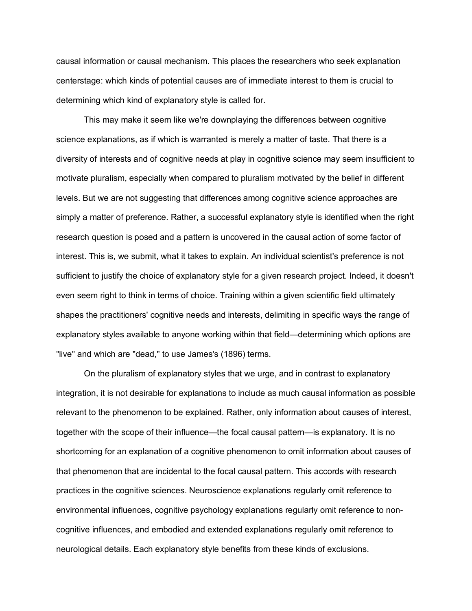causal information or causal mechanism. This places the researchers who seek explanation centerstage: which kinds of potential causes are of immediate interest to them is crucial to determining which kind of explanatory style is called for.

 This may make it seem like we're downplaying the differences between cognitive science explanations, as if which is warranted is merely a matter of taste. That there is a diversity of interests and of cognitive needs at play in cognitive science may seem insufficient to motivate pluralism, especially when compared to pluralism motivated by the belief in different levels. But we are not suggesting that differences among cognitive science approaches are simply a matter of preference. Rather, a successful explanatory style is identified when the right research question is posed and a pattern is uncovered in the causal action of some factor of interest. This is, we submit, what it takes to explain. An individual scientist's preference is not sufficient to justify the choice of explanatory style for a given research project. Indeed, it doesn't even seem right to think in terms of choice. Training within a given scientific field ultimately shapes the practitioners' cognitive needs and interests, delimiting in specific ways the range of explanatory styles available to anyone working within that field—determining which options are "live" and which are "dead," to use James's (1896) terms.

 On the pluralism of explanatory styles that we urge, and in contrast to explanatory integration, it is not desirable for explanations to include as much causal information as possible relevant to the phenomenon to be explained. Rather, only information about causes of interest, together with the scope of their influence—the focal causal pattern—is explanatory. It is no shortcoming for an explanation of a cognitive phenomenon to omit information about causes of that phenomenon that are incidental to the focal causal pattern. This accords with research practices in the cognitive sciences. Neuroscience explanations regularly omit reference to environmental influences, cognitive psychology explanations regularly omit reference to noncognitive influences, and embodied and extended explanations regularly omit reference to neurological details. Each explanatory style benefits from these kinds of exclusions.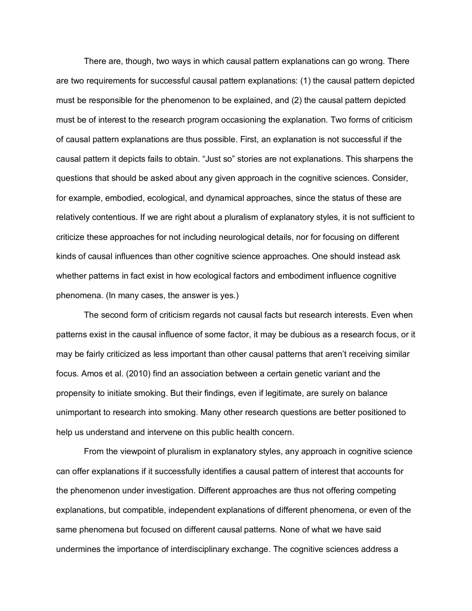There are, though, two ways in which causal pattern explanations can go wrong. There are two requirements for successful causal pattern explanations: (1) the causal pattern depicted must be responsible for the phenomenon to be explained, and (2) the causal pattern depicted must be of interest to the research program occasioning the explanation. Two forms of criticism of causal pattern explanations are thus possible. First, an explanation is not successful if the causal pattern it depicts fails to obtain. "Just so" stories are not explanations. This sharpens the questions that should be asked about any given approach in the cognitive sciences. Consider, for example, embodied, ecological, and dynamical approaches, since the status of these are relatively contentious. If we are right about a pluralism of explanatory styles, it is not sufficient to criticize these approaches for not including neurological details, nor for focusing on different kinds of causal influences than other cognitive science approaches. One should instead ask whether patterns in fact exist in how ecological factors and embodiment influence cognitive phenomena. (In many cases, the answer is yes.)

The second form of criticism regards not causal facts but research interests. Even when patterns exist in the causal influence of some factor, it may be dubious as a research focus, or it may be fairly criticized as less important than other causal patterns that aren't receiving similar focus. Amos et al. (2010) find an association between a certain genetic variant and the propensity to initiate smoking. But their findings, even if legitimate, are surely on balance unimportant to research into smoking. Many other research questions are better positioned to help us understand and intervene on this public health concern.

From the viewpoint of pluralism in explanatory styles, any approach in cognitive science can offer explanations if it successfully identifies a causal pattern of interest that accounts for the phenomenon under investigation. Different approaches are thus not offering competing explanations, but compatible, independent explanations of different phenomena, or even of the same phenomena but focused on different causal patterns. None of what we have said undermines the importance of interdisciplinary exchange. The cognitive sciences address a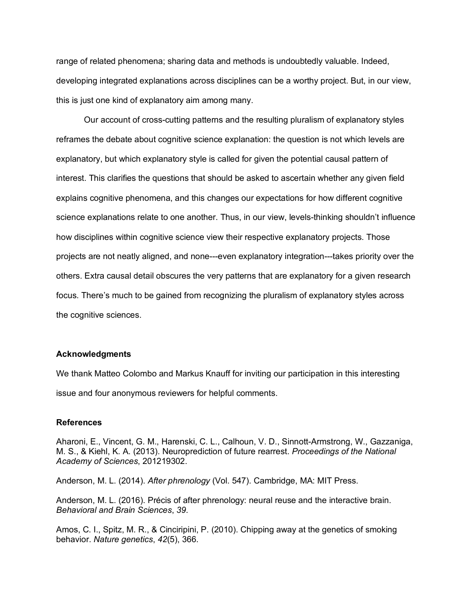range of related phenomena; sharing data and methods is undoubtedly valuable. Indeed, developing integrated explanations across disciplines can be a worthy project. But, in our view, this is just one kind of explanatory aim among many.

Our account of cross-cutting patterns and the resulting pluralism of explanatory styles reframes the debate about cognitive science explanation: the question is not which levels are explanatory, but which explanatory style is called for given the potential causal pattern of interest. This clarifies the questions that should be asked to ascertain whether any given field explains cognitive phenomena, and this changes our expectations for how different cognitive science explanations relate to one another. Thus, in our view, levels-thinking shouldn't influence how disciplines within cognitive science view their respective explanatory projects. Those projects are not neatly aligned, and none---even explanatory integration---takes priority over the others. Extra causal detail obscures the very patterns that are explanatory for a given research focus. There's much to be gained from recognizing the pluralism of explanatory styles across the cognitive sciences.

#### **Acknowledgments**

We thank Matteo Colombo and Markus Knauff for inviting our participation in this interesting issue and four anonymous reviewers for helpful comments.

## **References**

Aharoni, E., Vincent, G. M., Harenski, C. L., Calhoun, V. D., Sinnott-Armstrong, W., Gazzaniga, M. S., & Kiehl, K. A. (2013). Neuroprediction of future rearrest. *Proceedings of the National Academy of Sciences*, 201219302.

Anderson, M. L. (2014). *After phrenology* (Vol. 547). Cambridge, MA: MIT Press.

Anderson, M. L. (2016). Précis of after phrenology: neural reuse and the interactive brain. *Behavioral and Brain Sciences*, *39*.

Amos, C. I., Spitz, M. R., & Cinciripini, P. (2010). Chipping away at the genetics of smoking behavior. *Nature genetics*, *42*(5), 366.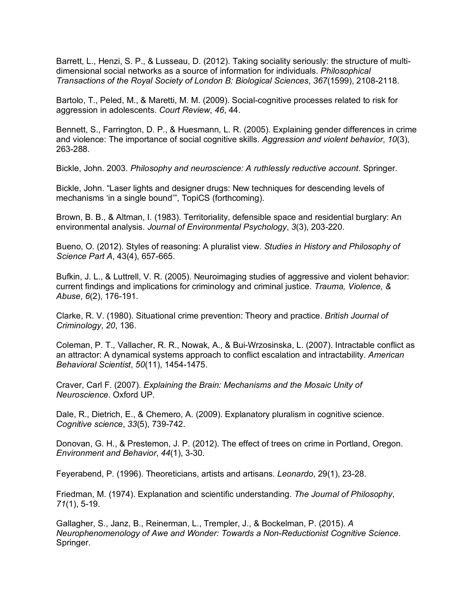Barrett, L., Henzi, S. P., & Lusseau, D. (2012). Taking sociality seriously: the structure of multidimensional social networks as a source of information for individuals. *Philosophical Transactions of the Royal Society of London B: Biological Sciences*, *367*(1599), 2108-2118.

Bartolo, T., Peled, M., & Maretti, M. M. (2009). Social-cognitive processes related to risk for aggression in adolescents. *Court Review*, *46*, 44.

Bennett, S., Farrington, D. P., & Huesmann, L. R. (2005). Explaining gender differences in crime and violence: The importance of social cognitive skills. *Aggression and violent behavior*, *10*(3), 263-288.

Bickle, John. 2003. *Philosophy and neuroscience: A ruthlessly reductive account*. Springer.

Bickle, John. "Laser lights and designer drugs: New techniques for descending levels of mechanisms 'in a single bound'", TopiCS (forthcoming).

Brown, B. B., & Altman, I. (1983). Territoriality, defensible space and residential burglary: An environmental analysis. *Journal of Environmental Psychology*, *3*(3), 203-220.

Bueno, O. (2012). Styles of reasoning: A pluralist view. *Studies in History and Philosophy of Science Part A*, 43(4), 657-665.

Bufkin, J. L., & Luttrell, V. R. (2005). Neuroimaging studies of aggressive and violent behavior: current findings and implications for criminology and criminal justice. *Trauma, Violence, & Abuse*, *6*(2), 176-191.

Clarke, R. V. (1980). Situational crime prevention: Theory and practice. *British Journal of Criminology*, *20*, 136.

Coleman, P. T., Vallacher, R. R., Nowak, A., & Bui-Wrzosinska, L. (2007). Intractable conflict as an attractor: A dynamical systems approach to conflict escalation and intractability. *American Behavioral Scientist*, *50*(11), 1454-1475.

Craver, Carl F. (2007). *Explaining the Brain: Mechanisms and the Mosaic Unity of Neuroscience*. Oxford UP.

Dale, R., Dietrich, E., & Chemero, A. (2009). Explanatory pluralism in cognitive science. *Cognitive science*, *33*(5), 739-742.

Donovan, G. H., & Prestemon, J. P. (2012). The effect of trees on crime in Portland, Oregon. *Environment and Behavior*, *44*(1), 3-30.

Feyerabend, P. (1996). Theoreticians, artists and artisans. *Leonardo*, 29(1), 23-28.

Friedman, M. (1974). Explanation and scientific understanding. *The Journal of Philosophy*, *71*(1), 5-19.

Gallagher, S., Janz, B., Reinerman, L., Trempler, J., & Bockelman, P. (2015). *A Neurophenomenology of Awe and Wonder: Towards a Non-Reductionist Cognitive Science*. Springer.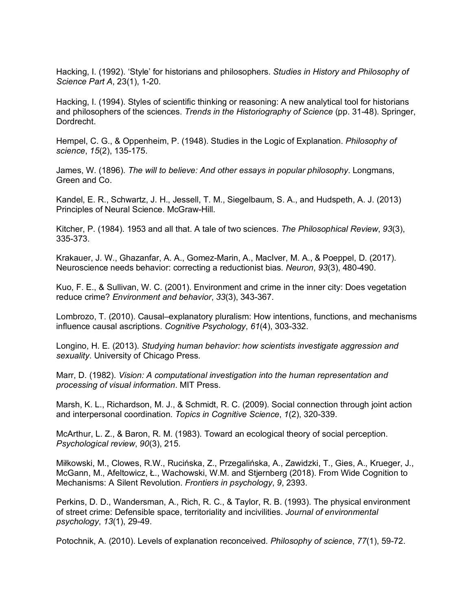Hacking, I. (1992). 'Style' for historians and philosophers. *Studies in History and Philosophy of Science Part A*, 23(1), 1-20.

Hacking, I. (1994). Styles of scientific thinking or reasoning: A new analytical tool for historians and philosophers of the sciences. *Trends in the Historiography of Science* (pp. 31-48). Springer, Dordrecht.

Hempel, C. G., & Oppenheim, P. (1948). Studies in the Logic of Explanation. *Philosophy of science*, *15*(2), 135-175.

James, W. (1896). *The will to believe: And other essays in popular philosophy*. Longmans, Green and Co.

Kandel, E. R., Schwartz, J. H., Jessell, T. M., Siegelbaum, S. A., and Hudspeth, A. J. (2013) Principles of Neural Science. McGraw-Hill.

Kitcher, P. (1984). 1953 and all that. A tale of two sciences. *The Philosophical Review*, *93*(3), 335-373.

Krakauer, J. W., Ghazanfar, A. A., Gomez-Marin, A., MacIver, M. A., & Poeppel, D. (2017). Neuroscience needs behavior: correcting a reductionist bias. *Neuron*, *93*(3), 480-490.

Kuo, F. E., & Sullivan, W. C. (2001). Environment and crime in the inner city: Does vegetation reduce crime? *Environment and behavior*, *33*(3), 343-367.

Lombrozo, T. (2010). Causal–explanatory pluralism: How intentions, functions, and mechanisms influence causal ascriptions. *Cognitive Psychology*, *61*(4), 303-332.

Longino, H. E. (2013). *Studying human behavior: how scientists investigate aggression and sexuality*. University of Chicago Press.

Marr, D. (1982). *Vision: A computational investigation into the human representation and processing of visual information*. MIT Press.

Marsh, K. L., Richardson, M. J., & Schmidt, R. C. (2009). Social connection through joint action and interpersonal coordination. *Topics in Cognitive Science*, *1*(2), 320-339.

McArthur, L. Z., & Baron, R. M. (1983). Toward an ecological theory of social perception. *Psychological review*, *90*(3), 215.

Miłkowski, M., Clowes, R.W., Rucińska, Z., Przegalińska, A., Zawidzki, T., Gies, A., Krueger, J., McGann, M., Afeltowicz, Ł., Wachowski, W.M. and Stjernberg (2018). From Wide Cognition to Mechanisms: A Silent Revolution. *Frontiers in psychology*, *9*, 2393.

Perkins, D. D., Wandersman, A., Rich, R. C., & Taylor, R. B. (1993). The physical environment of street crime: Defensible space, territoriality and incivilities. *Journal of environmental psychology*, *13*(1), 29-49.

Potochnik, A. (2010). Levels of explanation reconceived. *Philosophy of science*, *77*(1), 59-72.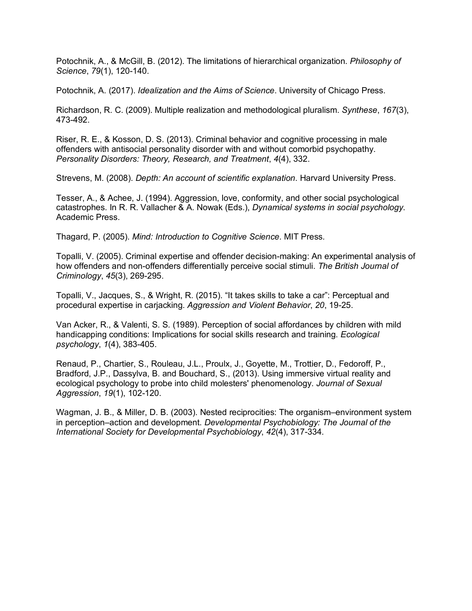Potochnik, A., & McGill, B. (2012). The limitations of hierarchical organization. *Philosophy of Science*, *79*(1), 120-140.

Potochnik, A. (2017). *Idealization and the Aims of Science*. University of Chicago Press.

Richardson, R. C. (2009). Multiple realization and methodological pluralism. *Synthese*, *167*(3), 473-492.

Riser, R. E., & Kosson, D. S. (2013). Criminal behavior and cognitive processing in male offenders with antisocial personality disorder with and without comorbid psychopathy. *Personality Disorders: Theory, Research, and Treatment*, *4*(4), 332.

Strevens, M. (2008). *Depth: An account of scientific explanation*. Harvard University Press.

Tesser, A., & Achee, J. (1994). Aggression, love, conformity, and other social psychological catastrophes. In R. R. Vallacher & A. Nowak (Eds.), *Dynamical systems in social psychology*. Academic Press.

Thagard, P. (2005). *Mind: Introduction to Cognitive Science*. MIT Press.

Topalli, V. (2005). Criminal expertise and offender decision-making: An experimental analysis of how offenders and non-offenders differentially perceive social stimuli. *The British Journal of Criminology*, *45*(3), 269-295.

Topalli, V., Jacques, S., & Wright, R. (2015). "It takes skills to take a car": Perceptual and procedural expertise in carjacking. *Aggression and Violent Behavior*, *20*, 19-25.

Van Acker, R., & Valenti, S. S. (1989). Perception of social affordances by children with mild handicapping conditions: Implications for social skills research and training. *Ecological psychology*, *1*(4), 383-405.

Renaud, P., Chartier, S., Rouleau, J.L., Proulx, J., Goyette, M., Trottier, D., Fedoroff, P., Bradford, J.P., Dassylva, B. and Bouchard, S., (2013). Using immersive virtual reality and ecological psychology to probe into child molesters' phenomenology. *Journal of Sexual Aggression*, *19*(1), 102-120.

Wagman, J. B., & Miller, D. B. (2003). Nested reciprocities: The organism–environment system in perception–action and development. *Developmental Psychobiology: The Journal of the International Society for Developmental Psychobiology*, *42*(4), 317-334.